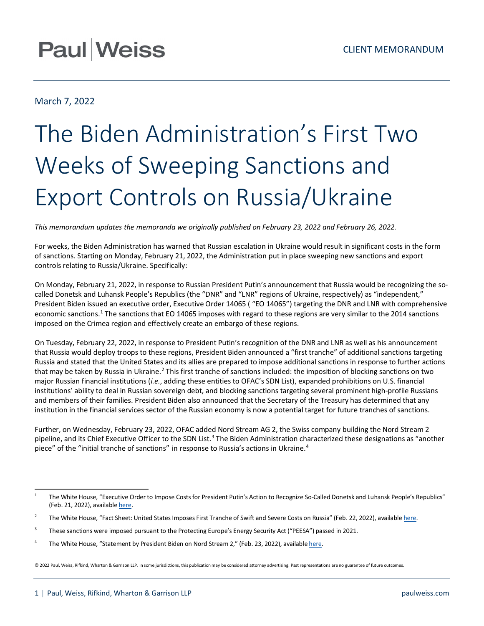## **Paul Weiss**

### March 7, 2022

# The Biden Administration's First Two Weeks of Sweeping Sanctions and Export Controls on Russia/Ukraine

*This memorandum updates the memoranda we originally published on February 23, 2022 and February 26, 2022.*

For weeks, the Biden Administration has warned that Russian escalation in Ukraine would result in significant costs in the form of sanctions. Starting on Monday, February 21, 2022, the Administration put in place sweeping new sanctions and export controls relating to Russia/Ukraine. Specifically:

On Monday, February 21, 2022, in response to Russian President Putin's announcement that Russia would be recognizing the socalled Donetsk and Luhansk People's Republics (the "DNR" and "LNR" regions of Ukraine, respectively) as "independent," President Biden issued an executive order, Executive Order 14065 ( "EO 14065") targeting the DNR and LNR with comprehensive economic sanctions.<sup>[1](#page-0-0)</sup> The sanctions that EO 14065 imposes with regard to these regions are very similar to the 2014 sanctions imposed on the Crimea region and effectively create an embargo of these regions.

On Tuesday, February 22, 2022, in response to President Putin's recognition of the DNR and LNR as well as his announcement that Russia would deploy troops to these regions, President Biden announced a "first tranche" of additional sanctions targeting Russia and stated that the United States and its allies are prepared to impose additional sanctions in response to further actions that may be taken by Russia in Ukraine.<sup>2</sup> This first tranche of sanctions included: the imposition of blocking sanctions on two major Russian financial institutions (*i.e.*, adding these entities to OFAC's SDN List), expanded prohibitions on U.S. financial institutions' ability to deal in Russian sovereign debt, and blocking sanctions targeting several prominent high-profile Russians and members of their families. President Biden also announced that the Secretary of the Treasury has determined that any institution in the financial services sector of the Russian economy is now a potential target for future tranches of sanctions.

Further, on Wednesday, February 23, 2022, OFAC added Nord Stream AG 2, the Swiss company building the Nord Stream 2 pipeline, and its Chief Executive Officer to the SDN List.<sup>[3](#page-0-2)</sup> The Biden Administration characterized these designations as "another piece" of the "initial tranche of sanctions" in response to Russia's actions in Ukraine.<sup>[4](#page-0-3)</sup>

© 2022 Paul, Weiss, Rifkind, Wharton & Garrison LLP. In some jurisdictions, this publication may be considered attorney advertising. Past representations are no guarantee of future outcomes.

<span id="page-0-0"></span><sup>&</sup>lt;sup>1</sup> The White House, "Executive Order to Impose Costs for President Putin's Action to Recognize So-Called Donetsk and Luhansk People's Republics" (Feb. 21, 2022), availabl[e here.](https://www.whitehouse.gov/briefing-room/presidential-actions/2022/02/21/executive-order-on-blocking-property-of-certain-persons-and-prohibiting-certain-transactions-with-respect-to-continued-russian-efforts-to-undermine-the-sovereignty-and-territorial-integrity-of-ukraine/)

<span id="page-0-1"></span><sup>&</sup>lt;sup>2</sup> The White House, "Fact Sheet: United States Imposes First Tranche of Swift and Severe Costs on Russia" (Feb. 22, 2022), availabl[e here.](https://www.whitehouse.gov/briefing-room/statements-releases/2022/02/22/fact-sheet-united-states-imposes-first-tranche-of-swift-and-severe-costs-on-russia/)

<span id="page-0-2"></span><sup>&</sup>lt;sup>3</sup> These sanctions were imposed pursuant to the Protecting Europe's Energy Security Act ("PEESA") passed in 2021.

<span id="page-0-3"></span><sup>&</sup>lt;sup>4</sup> The White House, "Statement by President Biden on Nord Stream 2," (Feb. 23, 2022), availabl[e here.](https://www.whitehouse.gov/briefing-room/statements-releases/2022/02/23/statement-by-president-biden-on-nord-stream-2/)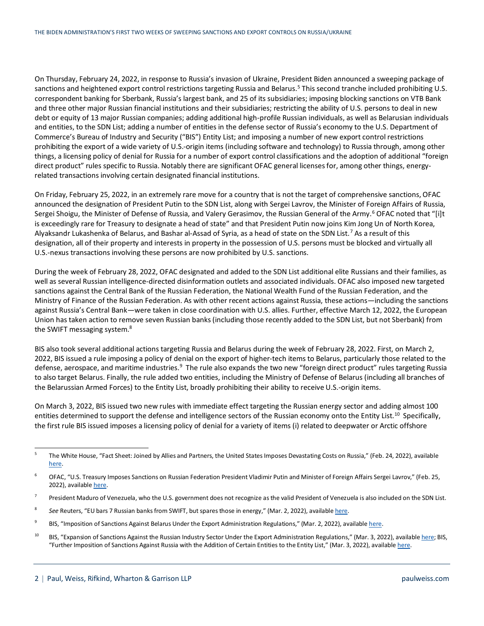On Thursday, February 24, 2022, in response to Russia's invasion of Ukraine, President Biden announced a sweeping package of sanctions and heightened export control restrictions targeting Russia and Belarus.<sup>[5](#page-1-0)</sup> This second tranche included prohibiting U.S. correspondent banking for Sberbank, Russia's largest bank, and 25 of its subsidiaries; imposing blocking sanctions on VTB Bank and three other major Russian financial institutions and their subsidiaries; restricting the ability of U.S. persons to deal in new debt or equity of 13 major Russian companies; adding additional high-profile Russian individuals, as well as Belarusian individuals and entities, to the SDN List; adding a number of entities in the defense sector of Russia's economy to the U.S. Department of Commerce's Bureau of Industry and Security ("BIS") Entity List; and imposing a number of new export control restrictions prohibiting the export of a wide variety of U.S.-origin items (including software and technology) to Russia through, among other things, a licensing policy of denial for Russia for a number of export control classifications and the adoption of additional "foreign direct product" rules specific to Russia. Notably there are significant OFAC general licenses for, among other things, energyrelated transactions involving certain designated financial institutions.

On Friday, February 25, 2022, in an extremely rare move for a country that is not the target of comprehensive sanctions, OFAC announced the designation of President Putin to the SDN List, along with Sergei Lavrov, the Minister of Foreign Affairs of Russia, Sergei Shoigu, the Minister of Defense of Russia, and Valery Gerasimov, the Russian General of the Army.<sup>[6](#page-1-1)</sup> OFAC noted that "[i]t is exceedingly rare for Treasury to designate a head of state" and that President Putin now joins Kim Jong Un of North Korea, Alyaksandr Lukashenka of Belarus, and Bashar al-Assad of Syria, as a head of state on the SDN List.[7](#page-1-2) As a result of this designation, all of their property and interests in property in the possession of U.S. persons must be blocked and virtually all U.S.-nexus transactions involving these persons are now prohibited by U.S. sanctions.

During the week of February 28, 2022, OFAC designated and added to the SDN List additional elite Russians and their families, as well as several Russian intelligence-directed disinformation outlets and associated individuals. OFAC also imposed new targeted sanctions against the Central Bank of the Russian Federation, the National Wealth Fund of the Russian Federation, and the Ministry of Finance of the Russian Federation. As with other recent actions against Russia, these actions—including the sanctions against Russia's Central Bank—were taken in close coordination with U.S. allies. Further, effective March 12, 2022, the European Union has taken action to remove seven Russian banks (including those recently added to the SDN List, but not Sberbank) from the SWIFT messaging system.[8](#page-1-3)

BIS also took several additional actions targeting Russia and Belarus during the week of February 28, 2022. First, on March 2, 2022, BIS issued a rule imposing a policy of denial on the export of higher-tech items to Belarus, particularly those related to the defense, aerospace, and maritime industries.<sup>[9](#page-1-4)</sup> The rule also expands the two new "foreign direct product" rules targeting Russia to also target Belarus. Finally, the rule added two entities, including the Ministry of Defense of Belarus (including all branches of the Belarussian Armed Forces) to the Entity List, broadly prohibiting their ability to receive U.S.-origin items.

On March 3, 2022, BIS issued two new rules with immediate effect targeting the Russian energy sector and adding almost 100 entities determined to support the defense and intelligence sectors of the Russian economy onto the Entity List.<sup>10</sup> Specifically, the first rule BIS issued imposes a licensing policy of denial for a variety of items (i) related to deepwater or Arctic offshore

<span id="page-1-0"></span><sup>&</sup>lt;sup>5</sup> The White House, "Fact Sheet: Joined by Allies and Partners, the United States Imposes Devastating Costs on Russia," (Feb. 24, 2022), available [here.](https://www.whitehouse.gov/briefing-room/statements-releases/2022/02/24/fact-sheet-joined-by-allies-and-partners-the-united-states-imposes-devastating-costs-on-russia/)

<span id="page-1-1"></span><sup>&</sup>lt;sup>6</sup> OFAC, "U.S. Treasury Imposes Sanctions on Russian Federation President Vladimir Putin and Minister of Foreign Affairs Sergei Lavrov," (Feb. 25, 2022), availabl[e here.](https://home.treasury.gov/news/press-releases/jy0610)

<span id="page-1-2"></span> $7$  President Maduro of Venezuela, who the U.S. government does not recognize as the valid President of Venezuela is also included on the SDN List.

<span id="page-1-3"></span><sup>&</sup>lt;sup>8</sup> See Reuters, "EU bars 7 Russian banks from SWIFT, but spares those in energy," (Mar. 2, 2022), availabl[e here.](https://www.reuters.com/business/finance/eu-excludes-seven-russian-banks-swift-official-journal-2022-03-02/)

<span id="page-1-4"></span><sup>&</sup>lt;sup>9</sup> BIS, "Imposition of Sanctions Against Belarus Under the Export Administration Regulations," (Mar. 2, 2022), availabl[e here.](https://public-inspection.federalregister.gov/2022-04819.pdf)

<span id="page-1-5"></span><sup>&</sup>lt;sup>10</sup> BIS, "Expansion of Sanctions Against the Russian Industry Sector Under the Export Administration Regulations," (Mar. 3, 2022), availabl[e here;](https://public-inspection.federalregister.gov/2022-04912.pdf) BIS, "Further Imposition of Sanctions Against Russia with the Addition of Certain Entities to the Entity List," (Mar. 3, 2022), availabl[e here.](https://public-inspection.federalregister.gov/2022-04925.pdf)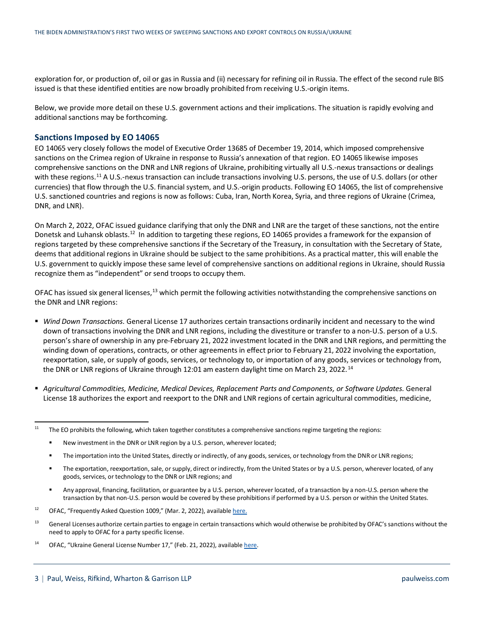exploration for, or production of, oil or gas in Russia and (ii) necessary for refining oil in Russia. The effect of the second rule BIS issued is that these identified entities are now broadly prohibited from receiving U.S.-origin items.

Below, we provide more detail on these U.S. government actions and their implications. The situation is rapidly evolving and additional sanctions may be forthcoming.

#### **Sanctions Imposed by EO 14065**

EO 14065 very closely follows the model of Executive Order 13685 of December 19, 2014, which imposed comprehensive sanctions on the Crimea region of Ukraine in response to Russia's annexation of that region. EO 14065 likewise imposes comprehensive sanctions on the DNR and LNR regions of Ukraine, prohibiting virtually all U.S.-nexus transactions or dealings with these regions.<sup>[11](#page-2-0)</sup> A U.S.-nexus transaction can include transactions involving U.S. persons, the use of U.S. dollars (or other currencies) that flow through the U.S. financial system, and U.S.-origin products. Following EO 14065, the list of comprehensive U.S. sanctioned countries and regions is now as follows: Cuba, Iran, North Korea, Syria, and three regions of Ukraine (Crimea, DNR, and LNR).

On March 2, 2022, OFAC issued guidance clarifying that only the DNR and LNR are the target of these sanctions, not the entire Donetsk and Luhansk oblasts.<sup>[12](#page-2-1)</sup> In addition to targeting these regions, EO 14065 provides a framework for the expansion of regions targeted by these comprehensive sanctions if the Secretary of the Treasury, in consultation with the Secretary of State, deems that additional regions in Ukraine should be subject to the same prohibitions. As a practical matter, this will enable the U.S. government to quickly impose these same level of comprehensive sanctions on additional regions in Ukraine, should Russia recognize them as "independent" or send troops to occupy them.

OFAC has issued six general licenses,<sup>[13](#page-2-2)</sup> which permit the following activities notwithstanding the comprehensive sanctions on the DNR and LNR regions:

- *Wind Down Transactions.* General License 17 authorizes certain transactions ordinarily incident and necessary to the wind down of transactions involving the DNR and LNR regions, including the divestiture or transfer to a non-U.S. person of a U.S. person's share of ownership in any pre-February 21, 2022 investment located in the DNR and LNR regions, and permitting the winding down of operations, contracts, or other agreements in effect prior to February 21, 2022 involving the exportation, reexportation, sale, or supply of goods, services, or technology to, or importation of any goods, services or technology from, the DNR or LNR regions of Ukraine through 12:01 am eastern daylight time on March 23, 2022.<sup>[14](#page-2-3)</sup>
- *Agricultural Commodities, Medicine, Medical Devices, Replacement Parts and Components, or Software Updates.* General License 18 authorizes the export and reexport to the DNR and LNR regions of certain agricultural commodities, medicine,

- The importation into the United States, directly or indirectly, of any goods, services, or technology from the DNR or LNR regions;
- The exportation, reexportation, sale, or supply, direct or indirectly, from the United States or by a U.S. person, wherever located, of any goods, services, or technology to the DNR or LNR regions; and
- Any approval, financing, facilitation, or guarantee by a U.S. person, wherever located, of a transaction by a non-U.S. person where the transaction by that non-U.S. person would be covered by these prohibitions if performed by a U.S. person or within the United States.

- <span id="page-2-2"></span><sup>13</sup> General Licenses authorize certain parties to engage in certain transactions which would otherwise be prohibited by OFAC's sanctions without the need to apply to OFAC for a party specific license.
- <span id="page-2-3"></span><sup>14</sup> OFAC, "Ukraine General License Number 17," (Feb. 21, 2022), availabl[e here.](https://home.treasury.gov/system/files/126/ukraine_gl17.pdf)

<span id="page-2-0"></span><sup>&</sup>lt;sup>11</sup> The EO prohibits the following, which taken together constitutes a comprehensive sanctions regime targeting the regions:

New investment in the DNR or LNR region by a U.S. person, wherever located;

<span id="page-2-1"></span><sup>&</sup>lt;sup>12</sup> OFAC, "Frequently Asked Question 1009," (Mar. 2, 2022), availabl[e here.](https://home.treasury.gov/policy-issues/financial-sanctions/faqs/1009)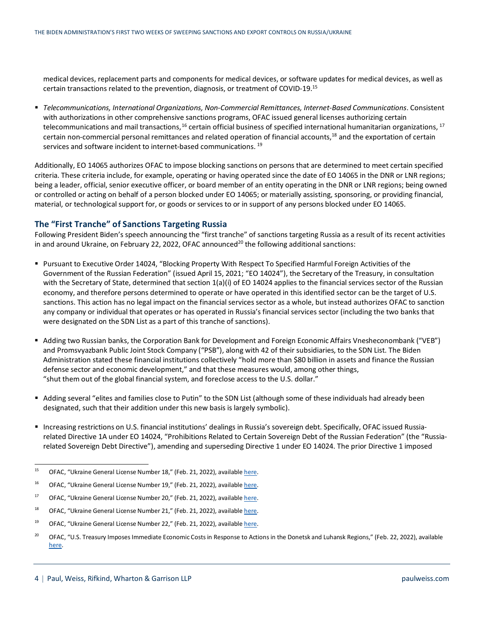medical devices, replacement parts and components for medical devices, or software updates for medical devices, as well as certain transactions related to the prevention, diagnosis, or treatment of COVID-19. [15](#page-3-0)

 *Telecommunications, International Organizations, Non-Commercial Remittances, Internet-Based Communications*. Consistent with authorizations in other comprehensive sanctions programs, OFAC issued general licenses authorizing certain telecommunications and mail transactions,<sup>[16](#page-3-1)</sup> certain official business of specified international humanitarian organizations, <sup>[17](#page-3-2)</sup> certain non-commercial personal remittances and related operation of financial accounts, [18](#page-3-3) and the exportation of certain services and software incident to internet-based communications.<sup>[19](#page-3-4)</sup>

Additionally, EO 14065 authorizes OFAC to impose blocking sanctions on persons that are determined to meet certain specified criteria. These criteria include, for example, operating or having operated since the date of EO 14065 in the DNR or LNR regions; being a leader, official, senior executive officer, or board member of an entity operating in the DNR or LNR regions; being owned or controlled or acting on behalf of a person blocked under EO 14065; or materially assisting, sponsoring, or providing financial, material, or technological support for, or goods or services to or in support of any persons blocked under EO 14065.

#### **The "First Tranche" of Sanctions Targeting Russia**

Following President Biden's speech announcing the "first tranche" of sanctions targeting Russia as a result of its recent activities in and around Ukraine, on February 22, 2022, OFAC announced<sup>20</sup> the following additional sanctions:

- Pursuant to Executive Order 14024, "Blocking Property With Respect To Specified Harmful Foreign Activities of the Government of the Russian Federation" (issued April 15, 2021; "EO 14024"), the Secretary of the Treasury, in consultation with the Secretary of State, determined that section 1(a)(i) of EO 14024 applies to the financial services sector of the Russian economy, and therefore persons determined to operate or have operated in this identified sector can be the target of U.S. sanctions. This action has no legal impact on the financial services sector as a whole, but instead authorizes OFAC to sanction any company or individual that operates or has operated in Russia's financial services sector (including the two banks that were designated on the SDN List as a part of this tranche of sanctions).
- Adding two Russian banks, the Corporation Bank for Development and Foreign Economic Affairs Vnesheconombank ("VEB") and Promsvyazbank Public Joint Stock Company ("PSB"), along with 42 of their subsidiaries, to the SDN List. The Biden Administration stated these financial institutions collectively "hold more than \$80 billion in assets and finance the Russian defense sector and economic development," and that these measures would, among other things, "shut them out of the global financial system, and foreclose access to the U.S. dollar."
- Adding several "elites and families close to Putin" to the SDN List (although some of these individuals had already been designated, such that their addition under this new basis is largely symbolic).
- Increasing restrictions on U.S. financial institutions' dealings in Russia's sovereign debt. Specifically, OFAC issued Russiarelated Directive 1A under EO 14024, "Prohibitions Related to Certain Sovereign Debt of the Russian Federation" (the "Russiarelated Sovereign Debt Directive"), amending and superseding Directive 1 under EO 14024. The prior Directive 1 imposed

<span id="page-3-0"></span><sup>&</sup>lt;sup>15</sup> OFAC, "Ukraine General License Number 18," (Feb. 21, 2022), availabl[e here.](https://home.treasury.gov/system/files/126/ukraine_gl18.pdf)

<span id="page-3-1"></span><sup>&</sup>lt;sup>16</sup> OFAC, "Ukraine General License Number 19," (Feb. 21, 2022), availabl[e here.](https://home.treasury.gov/system/files/126/ukraine_gl19.pdf)

<span id="page-3-2"></span><sup>&</sup>lt;sup>17</sup> OFAC, "Ukraine General License Number 20," (Feb. 21, 2022), availabl[e here.](https://home.treasury.gov/system/files/126/ukraine_gl20.pdf)

<span id="page-3-3"></span><sup>&</sup>lt;sup>18</sup> OFAC, "Ukraine General License Number 21," (Feb. 21, 2022), availabl[e here.](https://home.treasury.gov/system/files/126/ukraine_gl21.pdf)

<span id="page-3-4"></span><sup>&</sup>lt;sup>19</sup> OFAC, "Ukraine General License Number 22," (Feb. 21, 2022), availabl[e here.](https://home.treasury.gov/system/files/126/ukraine_gl22.pdf)

<span id="page-3-5"></span><sup>&</sup>lt;sup>20</sup> OFAC, "U.S. Treasury Imposes Immediate Economic Costs in Response to Actions in the Donetsk and Luhansk Regions," (Feb. 22, 2022), available [here.](https://home.treasury.gov/news/press-releases/jy0602)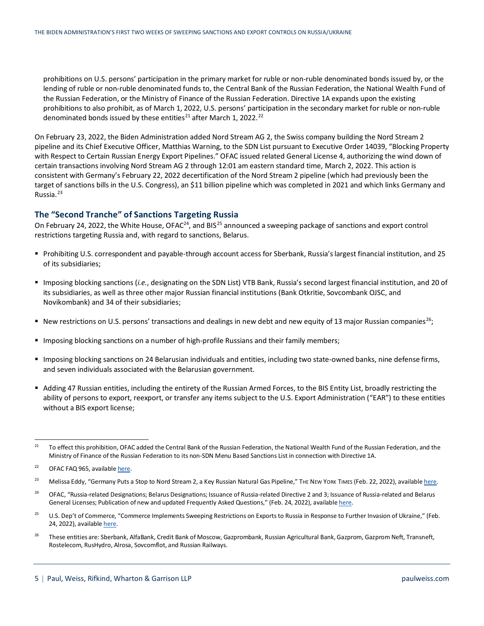prohibitions on U.S. persons' participation in the primary market for ruble or non-ruble denominated bonds issued by, or the lending of ruble or non-ruble denominated funds to, the Central Bank of the Russian Federation, the National Wealth Fund of the Russian Federation, or the Ministry of Finance of the Russian Federation. Directive 1A expands upon the existing prohibitions to also prohibit, as of March 1, 2022, U.S. persons' participation in the secondary market for ruble or non-ruble denominated bonds issued by these entities<sup>[21](#page-4-0)</sup> after March 1, 20[22](#page-4-1).<sup>22</sup>

On February 23, 2022, the Biden Administration added Nord Stream AG 2, the Swiss company building the Nord Stream 2 pipeline and its Chief Executive Officer, Matthias Warning, to the SDN List pursuant to Executive Order 14039, "Blocking Property with Respect to Certain Russian Energy Export Pipelines." OFAC issued related General License 4, authorizing the wind down of certain transactions involving Nord Stream AG 2 through 12:01 am eastern standard time, March 2, 2022. This action is consistent with Germany's February 22, 2022 decertification of the Nord Stream 2 pipeline (which had previously been the target of sanctions bills in the U.S. Congress), an \$11 billion pipeline which was completed in 2021 and which links Germany and Russia.[23](#page-4-2)

#### **The "Second Tranche" of Sanctions Targeting Russia**

On February [24](#page-4-3), 2022, the White House, OFAC<sup>24</sup>, and BIS<sup>[25](#page-4-4)</sup> announced a sweeping package of sanctions and export control restrictions targeting Russia and, with regard to sanctions, Belarus.

- Prohibiting U.S. correspondent and payable-through account access for Sberbank, Russia's largest financial institution, and 25 of its subsidiaries;
- Imposing blocking sanctions (*i.e.*, designating on the SDN List) VTB Bank, Russia's second largest financial institution, and 20 of its subsidiaries, as well as three other major Russian financial institutions (Bank Otkritie, Sovcombank OJSC, and Novikombank) and 34 of their subsidiaries;
- New restrictions on U.S. persons' transactions and dealings in new debt and new equity of 13 major Russian companies<sup>26</sup>;
- **IMPOSING BIOCHT IMPOSING SANCH IMPOSING A NUMBER 1** IMPOSING MODERS: Imposing blocking sanctions a numbers;
- Imposing blocking sanctions on 24 Belarusian individuals and entities, including two state-owned banks, nine defense firms, and seven individuals associated with the Belarusian government.
- Adding 47 Russian entities, including the entirety of the Russian Armed Forces, to the BIS Entity List, broadly restricting the ability of persons to export, reexport, or transfer any items subject to the U.S. Export Administration ("EAR") to these entities without a BIS export license;

<span id="page-4-5"></span><sup>26</sup> These entities are: Sberbank, AlfaBank, Credit Bank of Moscow, Gazprombank, Russian Agricultural Bank, Gazprom, Gazprom Neft, Transneft, Rostelecom, RusHydro, Alrosa, Sovcomflot, and Russian Railways.

<span id="page-4-0"></span><sup>&</sup>lt;sup>21</sup> To effect this prohibition, OFAC added the Central Bank of the Russian Federation, the National Wealth Fund of the Russian Federation, and the Ministry of Finance of the Russian Federation to its non-SDN Menu Based Sanctions List in connection with Directive 1A.

<span id="page-4-1"></span><sup>&</sup>lt;sup>22</sup> OFAC FAQ 965, availabl[e here.](https://home.treasury.gov/policy-issues/financial-sanctions/faqs/965)

<span id="page-4-2"></span><sup>&</sup>lt;sup>23</sup> Melissa Eddy, "Germany Puts a Stop to Nord Stream 2, a Key Russian Natural Gas Pipeline," The New York Times (Feb. 22, 2022), availabl[e here.](https://www.nytimes.com/2022/02/22/business/nord-stream-pipeline-germany-russia.html)

<span id="page-4-3"></span><sup>&</sup>lt;sup>24</sup> OFAC, "Russia-related Designations; Belarus Designations; Issuance of Russia-related Directive 2 and 3; Issuance of Russia-related and Belarus General Licenses; Publication of new and updated Frequently Asked Questions," (Feb. 24, 2022), availabl[e here.](https://home.treasury.gov/policy-issues/financial-sanctions/recent-actions/20220224)

<span id="page-4-4"></span><sup>&</sup>lt;sup>25</sup> U.S. Dep't of Commerce, "Commerce Implements Sweeping Restrictions on Exports to Russia in Response to Further Invasion of Ukraine," (Feb. 24, 2022), availabl[e here.](https://www.commerce.gov/news/press-releases/2022/02/commerce-implements-sweeping-restrictions-exports-russia-response)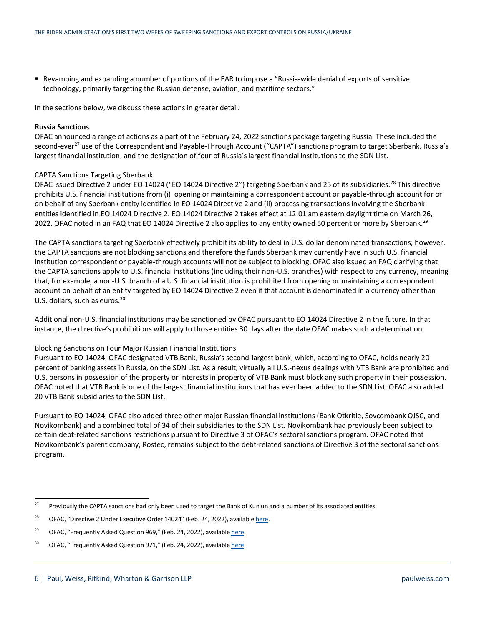Revamping and expanding a number of portions of the EAR to impose a "Russia-wide denial of exports of sensitive technology, primarily targeting the Russian defense, aviation, and maritime sectors."

In the sections below, we discuss these actions in greater detail.

#### **Russia Sanctions**

OFAC announced a range of actions as a part of the February 24, 2022 sanctions package targeting Russia. These included the second-ever<sup>27</sup> use of the Correspondent and Payable-Through Account ("CAPTA") sanctions program to target Sberbank, Russia's largest financial institution, and the designation of four of Russia's largest financial institutions to the SDN List.

#### CAPTA Sanctions Targeting Sberbank

OFAC issued Directive 2 under EO 14024 ("EO 14024 Directive 2") targeting Sberbank and 25 of its subsidiaries.<sup>[28](#page-5-1)</sup> This directive prohibits U.S. financial institutions from (i) opening or maintaining a correspondent account or payable-through account for or on behalf of any Sberbank entity identified in EO 14024 Directive 2 and (ii) processing transactions involving the Sberbank entities identified in EO 14024 Directive 2. EO 14024 Directive 2 takes effect at 12:01 am eastern daylight time on March 26, 2022. OFAC noted in an FAQ that EO 14024 Directive 2 also applies to any entity owned 50 percent or more by Sberbank.<sup>[29](#page-5-2)</sup>

The CAPTA sanctions targeting Sberbank effectively prohibit its ability to deal in U.S. dollar denominated transactions; however, the CAPTA sanctions are not blocking sanctions and therefore the funds Sberbank may currently have in such U.S. financial institution correspondent or payable-through accounts will not be subject to blocking. OFAC also issued an FAQ clarifying that the CAPTA sanctions apply to U.S. financial institutions (including their non-U.S. branches) with respect to any currency, meaning that, for example, a non-U.S. branch of a U.S. financial institution is prohibited from opening or maintaining a correspondent account on behalf of an entity targeted by EO 14024 Directive 2 even if that account is denominated in a currency other than U.S. dollars, such as euros.<sup>[30](#page-5-3)</sup>

Additional non-U.S. financial institutions may be sanctioned by OFAC pursuant to EO 14024 Directive 2 in the future. In that instance, the directive's prohibitions will apply to those entities 30 days after the date OFAC makes such a determination.

#### Blocking Sanctions on Four Major Russian Financial Institutions

Pursuant to EO 14024, OFAC designated VTB Bank, Russia's second-largest bank, which, according to OFAC, holds nearly 20 percent of banking assets in Russia, on the SDN List. As a result, virtually all U.S.-nexus dealings with VTB Bank are prohibited and U.S. persons in possession of the property or interests in property of VTB Bank must block any such property in their possession. OFAC noted that VTB Bank is one of the largest financial institutions that has ever been added to the SDN List. OFAC also added 20 VTB Bank subsidiaries to the SDN List.

Pursuant to EO 14024, OFAC also added three other major Russian financial institutions (Bank Otkritie, Sovcombank OJSC, and Novikombank) and a combined total of 34 of their subsidiaries to the SDN List. Novikombank had previously been subject to certain debt-related sanctions restrictions pursuant to Directive 3 of OFAC's sectoral sanctions program. OFAC noted that Novikombank's parent company, Rostec, remains subject to the debt-related sanctions of Directive 3 of the sectoral sanctions program.

<span id="page-5-0"></span><sup>&</sup>lt;sup>27</sup> Previously the CAPTA sanctions had only been used to target the Bank of Kunlun and a number of its associated entities.

<span id="page-5-1"></span><sup>&</sup>lt;sup>28</sup> OFAC, "Directive 2 Under Executive Order 14024" (Feb. 24, 2022), availabl[e here.](https://home.treasury.gov/system/files/126/correspondent_accounts_directive_2.pdf)

<span id="page-5-2"></span><sup>&</sup>lt;sup>29</sup> OFAC, "Frequently Asked Question 969," (Feb. 24, 2022), availabl[e here.](https://home.treasury.gov/policy-issues/financial-sanctions/faq/added/2022-02-24)

<span id="page-5-3"></span><sup>&</sup>lt;sup>30</sup> OFAC, "Frequently Asked Question 971," (Feb. 24, 2022), availabl[e here.](https://home.treasury.gov/policy-issues/financial-sanctions/faq/added/2022-02-24)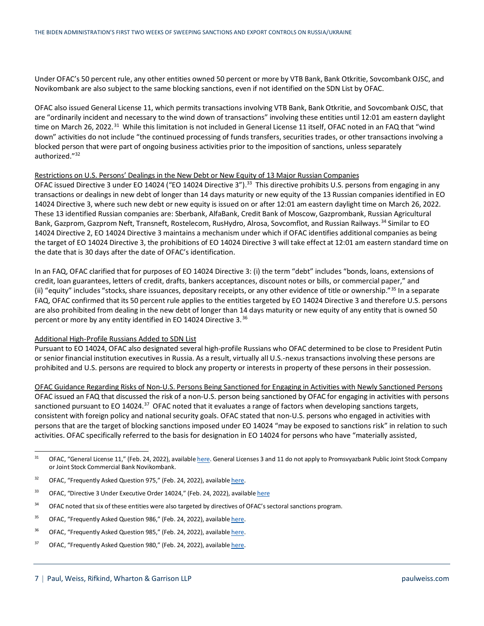Under OFAC's 50 percent rule, any other entities owned 50 percent or more by VTB Bank, Bank Otkritie, Sovcombank OJSC, and Novikombank are also subject to the same blocking sanctions, even if not identified on the SDN List by OFAC.

OFAC also issued General License 11, which permits transactions involving VTB Bank, Bank Otkritie, and Sovcombank OJSC, that are "ordinarily incident and necessary to the wind down of transactions" involving these entities until 12:01 am eastern daylight time on March 26, 2022.<sup>31</sup> While this limitation is not included in General License 11 itself, OFAC noted in an FAQ that "wind down" activities do not include "the continued processing of funds transfers, securities trades, or other transactions involving a blocked person that were part of ongoing business activities prior to the imposition of sanctions, unless separately authorized."[32](#page-6-1)

#### Restrictions on U.S. Persons' Dealings in the New Debt or New Equity of 13 Major Russian Companies

OFAC issued Directive 3 under EO 14024 ("EO 14024 Directive 3").<sup>33</sup> This directive prohibits U.S. persons from engaging in any transactions or dealings in new debt of longer than 14 days maturity or new equity of the 13 Russian companies identified in EO 14024 Directive 3, where such new debt or new equity is issued on or after 12:01 am eastern daylight time on March 26, 2022. These 13 identified Russian companies are: Sberbank, AlfaBank, Credit Bank of Moscow, Gazprombank, Russian Agricultural Bank, Gazprom, Gazprom Neft, Transneft, Rostelecom, RusHydro, Alrosa, Sovcomflot, and Russian Railways.<sup>[34](#page-6-3)</sup> Similar to EO 14024 Directive 2, EO 14024 Directive 3 maintains a mechanism under which if OFAC identifies additional companies as being the target of EO 14024 Directive 3, the prohibitions of EO 14024 Directive 3 will take effect at 12:01 am eastern standard time on the date that is 30 days after the date of OFAC's identification.

In an FAQ, OFAC clarified that for purposes of EO 14024 Directive 3: (i) the term "debt" includes "bonds, loans, extensions of credit, loan guarantees, letters of credit, drafts, bankers acceptances, discount notes or bills, or commercial paper," and (ii) "equity" includes "stocks, share issuances, depositary receipts, or any other evidence of title or ownership."[35](#page-6-4) In a separate FAQ, OFAC confirmed that its 50 percent rule applies to the entities targeted by EO 14024 Directive 3 and therefore U.S. persons are also prohibited from dealing in the new debt of longer than 14 days maturity or new equity of any entity that is owned 50 percent or more by any entity identified in EO 14024 Directive 3.<sup>[36](#page-6-5)</sup>

#### Additional High-Profile Russians Added to SDN List

Pursuant to EO 14024, OFAC also designated several high-profile Russians who OFAC determined to be close to President Putin or senior financial institution executives in Russia. As a result, virtually all U.S.-nexus transactions involving these persons are prohibited and U.S. persons are required to block any property or interests in property of these persons in their possession.

OFAC Guidance Regarding Risks of Non-U.S. Persons Being Sanctioned for Engaging in Activities with Newly Sanctioned Persons OFAC issued an FAQ that discussed the risk of a non-U.S. person being sanctioned by OFAC for engaging in activities with persons sanctioned pursuant to EO 14024.<sup>[37](#page-6-6)</sup> OFAC noted that it evaluates a range of factors when developing sanctions targets, consistent with foreign policy and national security goals. OFAC stated that non-U.S. persons who engaged in activities with persons that are the target of blocking sanctions imposed under EO 14024 "may be exposed to sanctions risk" in relation to such activities. OFAC specifically referred to the basis for designation in EO 14024 for persons who have "materially assisted,

- <span id="page-6-3"></span><sup>34</sup> OFAC noted that six of these entities were also targeted by directives of OFAC's sectoral sanctions program.
- <span id="page-6-4"></span><sup>35</sup> OFAC, "Frequently Asked Question 986," (Feb. 24, 2022), availabl[e here.](https://home.treasury.gov/policy-issues/financial-sanctions/faq/added/2022-02-24)
- <span id="page-6-5"></span><sup>36</sup> OFAC, "Frequently Asked Question 985," (Feb. 24, 2022), availabl[e here.](https://home.treasury.gov/policy-issues/financial-sanctions/faq/added/2022-02-24)
- <span id="page-6-6"></span><sup>37</sup> OFAC, "Frequently Asked Question 980," (Feb. 24, 2022), availabl[e here.](https://home.treasury.gov/policy-issues/financial-sanctions/faq/added/2022-02-24)

<span id="page-6-0"></span><sup>&</sup>lt;sup>31</sup> OFAC, "General License 11," (Feb. 24, 2022), availabl[e here.](https://home.treasury.gov/system/files/126/russia_gl11.pdf) General Licenses 3 and 11 do not apply to Promsvyazbank Public Joint Stock Company or Joint Stock Commercial Bank Novikombank.

<span id="page-6-1"></span><sup>&</sup>lt;sup>32</sup> OFAC, "Frequently Asked Question 975," (Feb. 24, 2022), availabl[e here.](https://home.treasury.gov/policy-issues/financial-sanctions/faq/added/2022-02-24)

<span id="page-6-2"></span><sup>33</sup> OFAC, "Directive 3 Under Executive Order 14024," (Feb. 24, 2022), availabl[e here](https://home.treasury.gov/system/files/126/new_debt_and_equity_directive_3.pdf)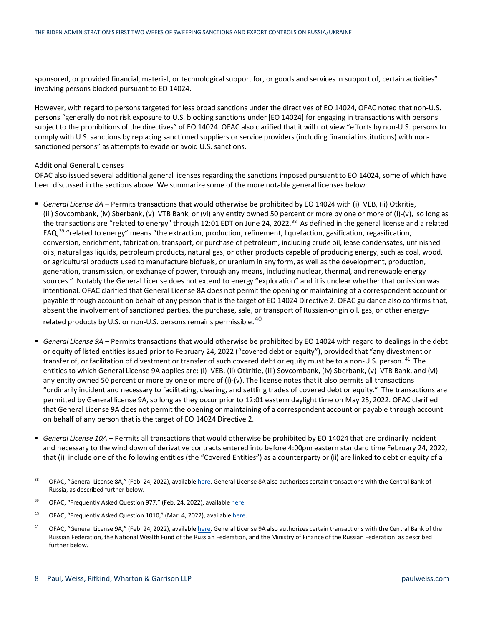sponsored, or provided financial, material, or technological support for, or goods and services in support of, certain activities" involving persons blocked pursuant to EO 14024.

However, with regard to persons targeted for less broad sanctions under the directives of EO 14024, OFAC noted that non-U.S. persons "generally do not risk exposure to U.S. blocking sanctions under [EO 14024] for engaging in transactions with persons subject to the prohibitions of the directives" of EO 14024. OFAC also clarified that it will not view "efforts by non-U.S. persons to comply with U.S. sanctions by replacing sanctioned suppliers or service providers (including financial institutions) with nonsanctioned persons" as attempts to evade or avoid U.S. sanctions.

#### Additional General Licenses

OFAC also issued several additional general licenses regarding the sanctions imposed pursuant to EO 14024, some of which have been discussed in the sections above. We summarize some of the more notable general licenses below:

- *General License 8A* Permits transactions that would otherwise be prohibited by EO 14024 with (i) VEB, (ii) Otkritie, (iii) Sovcombank, (iv) Sberbank, (v) VTB Bank, or (vi) any entity owned 50 percent or more by one or more of (i)-(v), so long as the transactions are "related to energy" through 12:01 EDT on June 24, 2022.<sup>[38](#page-7-0)</sup> As defined in the general license and a related FAQ,<sup>[39](#page-7-1)</sup> "related to energy" means "the extraction, production, refinement, liquefaction, gasification, regasification, conversion, enrichment, fabrication, transport, or purchase of petroleum, including crude oil, lease condensates, unfinished oils, natural gas liquids, petroleum products, natural gas, or other products capable of producing energy, such as coal, wood, or agricultural products used to manufacture biofuels, or uranium in any form, as well as the development, production, generation, transmission, or exchange of power, through any means, including nuclear, thermal, and renewable energy sources." Notably the General License does not extend to energy "exploration" and it is unclear whether that omission was intentional. OFAC clarified that General License 8A does not permit the opening or maintaining of a correspondent account or payable through account on behalf of any person that is the target of EO 14024 Directive 2. OFAC guidance also confirms that, absent the involvement of sanctioned parties, the purchase, sale, or transport of Russian-origin oil, gas, or other energyrelated products by U.S. or non-U.S. persons remains permissible.  $^{40}$  $^{40}$  $^{40}$
- *General License 9A* Permits transactions that would otherwise be prohibited by EO 14024 with regard to dealings in the debt or equity of listed entities issued prior to February 24, 2022 ("covered debt or equity"), provided that "any divestment or transfer of, or facilitation of divestment or transfer of such covered debt or equity must be to a non-U.S. person. <sup>[41](#page-7-3)</sup> The entities to which General License 9A applies are: (i) VEB, (ii) Otkritie, (iii) Sovcombank, (iv) Sberbank, (v) VTB Bank, and (vi) any entity owned 50 percent or more by one or more of (i)-(v). The license notes that it also permits all transactions "ordinarily incident and necessary to facilitating, clearing, and settling trades of covered debt or equity." The transactions are permitted by General license 9A, so long as they occur prior to 12:01 eastern daylight time on May 25, 2022. OFAC clarified that General License 9A does not permit the opening or maintaining of a correspondent account or payable through account on behalf of any person that is the target of EO 14024 Directive 2.
- *General License 10A* Permits all transactions that would otherwise be prohibited by EO 14024 that are ordinarily incident and necessary to the wind down of derivative contracts entered into before 4:00pm eastern standard time February 24, 2022, that (i) include one of the following entities (the "Covered Entities") as a counterparty or (ii) are linked to debt or equity of a

<span id="page-7-0"></span><sup>&</sup>lt;sup>38</sup> OFAC, "General License 8A," (Feb. 24, 2022), availabl[e here.](https://home.treasury.gov/system/files/126/russia_gl8a_1.pdf) General License 8A also authorizes certain transactions with the Central Bank of Russia, as described further below.

<span id="page-7-1"></span><sup>&</sup>lt;sup>39</sup> OFAC, "Frequently Asked Question 977," (Feb. 24, 2022), availabl[e here.](https://home.treasury.gov/policy-issues/financial-sanctions/faq/added/2022-02-24)

<span id="page-7-2"></span><sup>&</sup>lt;sup>40</sup> OFAC, "Frequently Asked Question 1010," (Mar. 4, 2022), availabl[e here.](https://home.treasury.gov/policy-issues/financial-sanctions/faqs/1010)

<span id="page-7-3"></span><sup>&</sup>lt;sup>41</sup> OFAC, "General License 9A," (Feb. 24, 2022), availabl[e here.](https://home.treasury.gov/system/files/126/russia_gl9a.pdf) General License 9A also authorizes certain transactions with the Central Bank of the Russian Federation, the National Wealth Fund of the Russian Federation, and the Ministry of Finance of the Russian Federation, as described further below.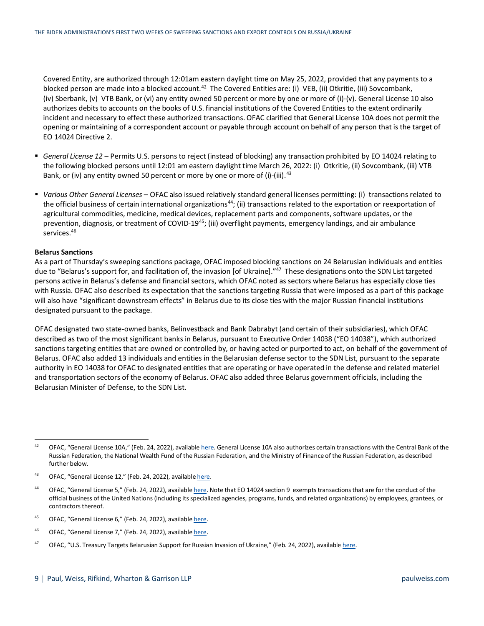Covered Entity, are authorized through 12:01am eastern daylight time on May 25, 2022, provided that any payments to a blocked person are made into a blocked account.<sup>[42](#page-8-0)</sup> The Covered Entities are: (i) VEB, (ii) Otkritie, (iii) Sovcombank, (iv) Sberbank, (v) VTB Bank, or (vi) any entity owned 50 percent or more by one or more of (i)-(v). General License 10 also authorizes debits to accounts on the books of U.S. financial institutions of the Covered Entities to the extent ordinarily incident and necessary to effect these authorized transactions. OFAC clarified that General License 10A does not permit the opening or maintaining of a correspondent account or payable through account on behalf of any person that is the target of EO 14024 Directive 2.

- *General License 12* Permits U.S. persons to reject (instead of blocking) any transaction prohibited by EO 14024 relating to the following blocked persons until 12:01 am eastern daylight time March 26, 2022: (i) Otkritie, (ii) Sovcombank, (iii) VTB Bank, or (iv) any entity owned 50 percent or more by one or more of (i)-(iii).  $43$
- *Various Other General Licenses* OFAC also issued relatively standard general licenses permitting: (i) transactions related to the official business of certain international organizations<sup>44</sup>; (ii) transactions related to the exportation or reexportation of agricultural commodities, medicine, medical devices, replacement parts and components, software updates, or the prevention, diagnosis, or treatment of COVID-19<sup>[45](#page-8-3)</sup>; (iii) overflight payments, emergency landings, and air ambulance services.<sup>46</sup>

#### **Belarus Sanctions**

As a part of Thursday's sweeping sanctions package, OFAC imposed blocking sanctions on 24 Belarusian individuals and entities due to "Belarus's support for, and facilitation of, the invasion [of Ukraine]."<sup>[47](#page-8-5)</sup> These designations onto the SDN List targeted persons active in Belarus's defense and financial sectors, which OFAC noted as sectors where Belarus has especially close ties with Russia. OFAC also described its expectation that the sanctions targeting Russia that were imposed as a part of this package will also have "significant downstream effects" in Belarus due to its close ties with the major Russian financial institutions designated pursuant to the package.

OFAC designated two state-owned banks, Belinvestback and Bank Dabrabyt (and certain of their subsidiaries), which OFAC described as two of the most significant banks in Belarus, pursuant to Executive Order 14038 ("EO 14038"), which authorized sanctions targeting entities that are owned or controlled by, or having acted or purported to act, on behalf of the government of Belarus. OFAC also added 13 individuals and entities in the Belarusian defense sector to the SDN List, pursuant to the separate authority in EO 14038 for OFAC to designated entities that are operating or have operated in the defense and related materiel and transportation sectors of the economy of Belarus. OFAC also added three Belarus government officials, including the Belarusian Minister of Defense, to the SDN List.

- <span id="page-8-3"></span><sup>45</sup> OFAC, "General License 6," (Feb. 24, 2022), availabl[e here.](https://home.treasury.gov/system/files/126/russia_gl6.pdf)
- <span id="page-8-4"></span><sup>46</sup> OFAC, "General License 7," (Feb. 24, 2022), availabl[e here.](https://home.treasury.gov/system/files/126/russia_gl7.pdf)
- <span id="page-8-5"></span><sup>47</sup> OFAC, "U.S. Treasury Targets Belarusian Support for Russian Invasion of Ukraine," (Feb. 24, 2022), availabl[e here.](https://home.treasury.gov/news/press-releases/jy0607)

<span id="page-8-0"></span><sup>&</sup>lt;sup>42</sup> OFAC, "General License 10A," (Feb. 24, 2022), availabl[e here.](https://home.treasury.gov/system/files/126/russia_gl10a.pdf) General License 10A also authorizes certain transactions with the Central Bank of the Russian Federation, the National Wealth Fund of the Russian Federation, and the Ministry of Finance of the Russian Federation, as described further below.

<span id="page-8-1"></span><sup>&</sup>lt;sup>43</sup> OFAC, "General License 12," (Feb. 24, 2022), availabl[e here.](https://home.treasury.gov/system/files/126/russia_gl12.pdf)

<span id="page-8-2"></span><sup>44</sup> OFAC, "General License 5," (Feb. 24, 2022), availabl[e here.](https://home.treasury.gov/system/files/126/russia_gl5.pdf) Note that EO 14024 section 9 exempts transactions that are for the conduct of the official business of the United Nations (including its specialized agencies, programs, funds, and related organizations) by employees, grantees, or contractors thereof.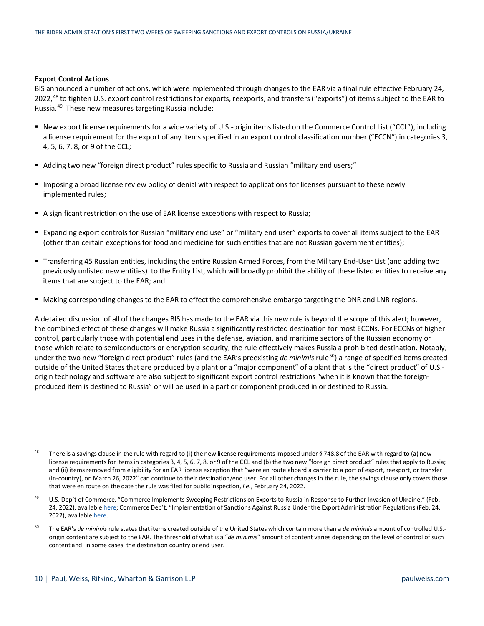#### **Export Control Actions**

BIS announced a number of actions, which were implemented through changes to the EAR via a final rule effective February 24, 2022,<sup>[48](#page-9-0)</sup> to tighten U.S. export control restrictions for exports, reexports, and transfers ("exports") of items subject to the EAR to Russia.[49](#page-9-1) These new measures targeting Russia include:

- New export license requirements for a wide variety of U.S.-origin items listed on the Commerce Control List ("CCL"), including a license requirement for the export of any items specified in an export control classification number ("ECCN") in categories 3, 4, 5, 6, 7, 8, or 9 of the CCL;
- Adding two new "foreign direct product" rules specific to Russia and Russian "military end users;"
- Imposing a broad license review policy of denial with respect to applications for licenses pursuant to these newly implemented rules;
- A significant restriction on the use of EAR license exceptions with respect to Russia;
- Expanding export controls for Russian "military end use" or "military end user" exports to cover all items subject to the EAR (other than certain exceptions for food and medicine for such entities that are not Russian government entities);
- Transferring 45 Russian entities, including the entire Russian Armed Forces, from the Military End-User List (and adding two previously unlisted new entities) to the Entity List, which will broadly prohibit the ability of these listed entities to receive any items that are subject to the EAR; and
- Making corresponding changes to the EAR to effect the comprehensive embargo targeting the DNR and LNR regions.

A detailed discussion of all of the changes BIS has made to the EAR via this new rule is beyond the scope of this alert; however, the combined effect of these changes will make Russia a significantly restricted destination for most ECCNs. For ECCNs of higher control, particularly those with potential end uses in the defense, aviation, and maritime sectors of the Russian economy or those which relate to semiconductors or encryption security, the rule effectively makes Russia a prohibited destination. Notably, under the two new "foreign direct product" rules (and the EAR's preexisting *de minimis* rule<sup>[50](#page-9-2)</sup>) a range of specified items created outside of the United States that are produced by a plant or a "major component" of a plant that is the "direct product" of U.S. origin technology and software are also subject to significant export control restrictions "when it is known that the foreignproduced item is destined to Russia" or will be used in a part or component produced in or destined to Russia.

<span id="page-9-0"></span><sup>&</sup>lt;sup>48</sup> There is a savings clause in the rule with regard to (i) the new license requirements imposed under § 748.8 of the EAR with regard to (a) new license requirements for items in categories 3, 4, 5, 6, 7, 8, or 9 of the CCL and (b) the two new "foreign direct product" rules that apply to Russia; and (ii) items removed from eligibility for an EAR license exception that "were en route aboard a carrier to a port of export, reexport, or transfer (in-country), on March 26, 2022" can continue to their destination/end user. For all other changes in the rule, the savings clause only covers those that were en route on the date the rule was filed for public inspection, *i.e.*, February 24, 2022.

<span id="page-9-1"></span><sup>49</sup> U.S. Dep't of Commerce, "Commerce Implements Sweeping Restrictions on Exports to Russia in Response to Further Invasion of Ukraine," (Feb. 24, 2022), availabl[e here;](https://www.commerce.gov/news/press-releases/2022/02/commerce-implements-sweeping-restrictions-exports-russia-response) Commerce Dep't, "Implementation of Sanctions Against Russia Under the Export Administration Regulations (Feb. 24, 2022), availabl[e here.](https://public-inspection.federalregister.gov/2022-04300.pdf)

<span id="page-9-2"></span><sup>50</sup> The EAR's *de minimis*rule states that items created outside of the United States which contain more than a *de minimis* amount of controlled U.S. origin content are subject to the EAR. The threshold of what is a "*de minimis*" amount of content varies depending on the level of control of such content and, in some cases, the destination country or end user.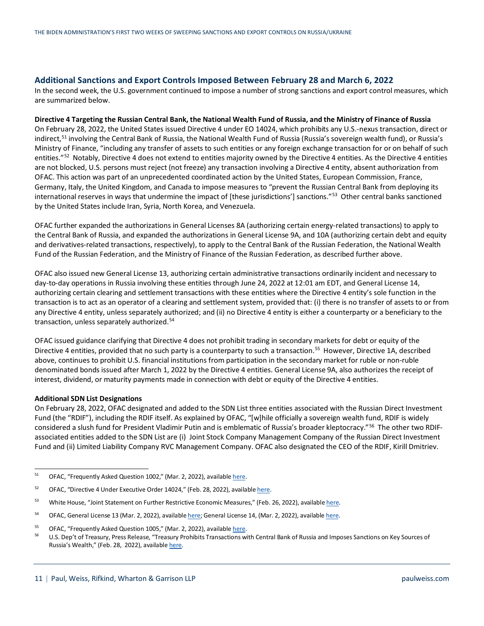#### **Additional Sanctions and Export Controls Imposed Between February 28 and March 6, 2022**

In the second week, the U.S. government continued to impose a number of strong sanctions and export control measures, which are summarized below.

#### **Directive 4 Targeting the Russian Central Bank, the National Wealth Fund of Russia, and the Ministry of Finance of Russia**

On February 28, 2022, the United States issued Directive 4 under EO 14024, which prohibits any U.S.-nexus transaction, direct or indirect,<sup>[51](#page-10-0)</sup> involving the Central Bank of Russia, the National Wealth Fund of Russia (Russia's sovereign wealth fund), or Russia's Ministry of Finance, "including any transfer of assets to such entities or any foreign exchange transaction for or on behalf of such entities."<sup>52</sup> Notably, Directive 4 does not extend to entities majority owned by the Directive 4 entities. As the Directive 4 entities are not blocked, U.S. persons must reject (not freeze) any transaction involving a Directive 4 entity, absent authorization from OFAC. This action was part of an unprecedented coordinated action by the United States, European Commission, France, Germany, Italy, the United Kingdom, and Canada to impose measures to "prevent the Russian Central Bank from deploying its international reserves in ways that undermine the impact of [these jurisdictions'] sanctions."<sup>53</sup> Other central banks sanctioned by the United States include Iran, Syria, North Korea, and Venezuela.

OFAC further expanded the authorizations in General Licenses 8A (authorizing certain energy-related transactions) to apply to the Central Bank of Russia, and expanded the authorizations in General License 9A, and 10A (authorizing certain debt and equity and derivatives-related transactions, respectively), to apply to the Central Bank of the Russian Federation, the National Wealth Fund of the Russian Federation, and the Ministry of Finance of the Russian Federation, as described further above.

OFAC also issued new General License 13, authorizing certain administrative transactions ordinarily incident and necessary to day-to-day operations in Russia involving these entities through June 24, 2022 at 12:01 am EDT, and General License 14, authorizing certain clearing and settlement transactions with these entities where the Directive 4 entity's sole function in the transaction is to act as an operator of a clearing and settlement system, provided that: (i) there is no transfer of assets to or from any Directive 4 entity, unless separately authorized; and (ii) no Directive 4 entity is either a counterparty or a beneficiary to the transaction, unless separately authorized.[54](#page-10-3)

OFAC issued guidance clarifying that Directive 4 does not prohibit trading in secondary markets for debt or equity of the Directive 4 entities, provided that no such party is a counterparty to such a transaction.<sup>[55](#page-10-4)</sup> However, Directive 1A, described above, continues to prohibit U.S. financial institutions from participation in the secondary market for ruble or non-ruble denominated bonds issued after March 1, 2022 by the Directive 4 entities. General License 9A, also authorizes the receipt of interest, dividend, or maturity payments made in connection with debt or equity of the Directive 4 entities.

#### **Additional SDN List Designations**

On February 28, 2022, OFAC designated and added to the SDN List three entities associated with the Russian Direct Investment Fund (the "RDIF"), including the RDIF itself. As explained by OFAC, "[w]hile officially a sovereign wealth fund, RDIF is widely considered a slush fund for President Vladimir Putin and is emblematic of Russia's broader kleptocracy."[56](#page-10-5) The other two RDIFassociated entities added to the SDN List are (i) Joint Stock Company Management Company of the Russian Direct Investment Fund and (ii) Limited Liability Company RVC Management Company. OFAC also designated the CEO of the RDIF, Kirill Dmitriev.

<span id="page-10-0"></span><sup>&</sup>lt;sup>51</sup> OFAC, "Frequently Asked Question 1002," (Mar. 2, 2022), availabl[e here.](https://home.treasury.gov/policy-issues/financial-sanctions/faqs/1002)

<span id="page-10-1"></span> $52$  OFAC, "Directive 4 Under Executive Order 14024," (Feb. 28, 2022), availabl[e here.](https://home.treasury.gov/system/files/126/eo14024_directive_4_02282022.pdf)

<span id="page-10-2"></span><sup>&</sup>lt;sup>53</sup> White House, "Joint Statement on Further Restrictive Economic Measures," (Feb. 26, 2022), availabl[e here.](https://www.whitehouse.gov/briefing-room/statements-releases/2022/02/26/joint-statement-on-further-restrictive-economic-measures/)

<span id="page-10-3"></span><sup>&</sup>lt;sup>54</sup> OFAC, General License 13 (Mar. 2, 2022), availabl[e here;](https://home.treasury.gov/system/files/126/russia_gl13.pdf) General License 14, (Mar. 2, 2022), availabl[e here.](https://home.treasury.gov/system/files/126/russia_gl14.pdf)

<span id="page-10-4"></span><sup>&</sup>lt;sup>55</sup> OFAC, "Frequently Asked Question 1005," (Mar. 2, 2022), availabl[e here.](https://home.treasury.gov/policy-issues/financial-sanctions/faq/added/2022-03-02)<br><sup>56</sup> U.S. Den't of Treasury, Press Polaces "Treasury Probibits Treasactions un

<span id="page-10-5"></span><sup>56</sup> U.S. Dep't of Treasury, Press Release, "Treasury Prohibits Transactions with Central Bank of Russia and Imposes Sanctions on Key Sources of Russia's Wealth," (Feb. 28, 2022), availabl[e here.](https://home.treasury.gov/news/press-releases/jy0612)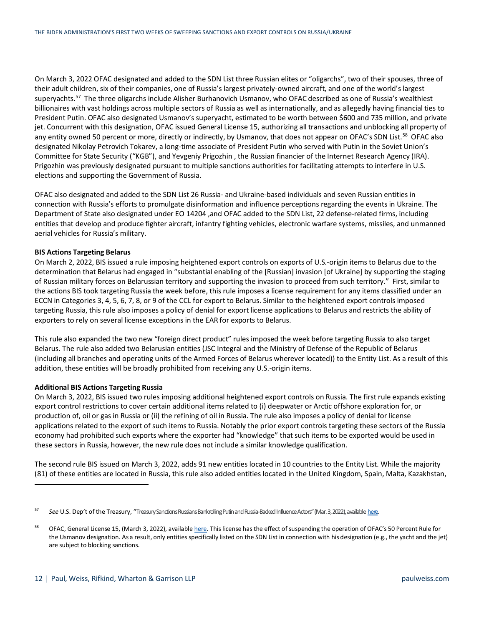On March 3, 2022 OFAC designated and added to the SDN List three Russian elites or "oligarchs", two of their spouses, three of their adult children, six of their companies, one of Russia's largest privately-owned aircraft, and one of the world's largest superyachts.<sup>[57](#page-11-0)</sup> The three oligarchs include Alisher Burhanovich Usmanov, who OFAC described as one of Russia's wealthiest billionaires with vast holdings across multiple sectors of Russia as well as internationally, and as allegedly having financial ties to President Putin. OFAC also designated Usmanov's superyacht, estimated to be worth between \$600 and 735 million, and private jet. Concurrent with this designation, OFAC issued General License 15, authorizing all transactions and unblocking all property of any entity owned 50 percent or more, directly or indirectly, by Usmanov, that does not appear on OFAC's SDN List.<sup>58</sup> OFAC also designated Nikolay Petrovich Tokarev, a long-time associate of President Putin who served with Putin in the Soviet Union's Committee for State Security ("KGB"), and Yevgeniy Prigozhin , the Russian financier of the Internet Research Agency (IRA). Prigozhin was previously designated pursuant to multiple sanctions authorities for facilitating attempts to interfere in U.S. elections and supporting the Government of Russia.

OFAC also designated and added to the SDN List 26 Russia- and Ukraine-based individuals and seven Russian entities in connection with Russia's efforts to promulgate disinformation and influence perceptions regarding the events in Ukraine. The Department of State also designated under EO 14204 ,and OFAC added to the SDN List, 22 defense-related firms, including entities that develop and produce fighter aircraft, infantry fighting vehicles, electronic warfare systems, missiles, and unmanned aerial vehicles for Russia's military.

#### **BIS Actions Targeting Belarus**

On March 2, 2022, BIS issued a rule imposing heightened export controls on exports of U.S.-origin items to Belarus due to the determination that Belarus had engaged in "substantial enabling of the [Russian] invasion [of Ukraine] by supporting the staging of Russian military forces on Belarussian territory and supporting the invasion to proceed from such territory." First, similar to the actions BIS took targeting Russia the week before, this rule imposes a license requirement for any items classified under an ECCN in Categories 3, 4, 5, 6, 7, 8, or 9 of the CCL for export to Belarus. Similar to the heightened export controls imposed targeting Russia, this rule also imposes a policy of denial for export license applications to Belarus and restricts the ability of exporters to rely on several license exceptions in the EAR for exports to Belarus.

This rule also expanded the two new "foreign direct product" rules imposed the week before targeting Russia to also target Belarus. The rule also added two Belarusian entities (JSC Integral and the Ministry of Defense of the Republic of Belarus (including all branches and operating units of the Armed Forces of Belarus wherever located)) to the Entity List. As a result of this addition, these entities will be broadly prohibited from receiving any U.S.-origin items.

#### **Additional BIS Actions Targeting Russia**

On March 3, 2022, BIS issued two rules imposing additional heightened export controls on Russia. The first rule expands existing export control restrictions to cover certain additional items related to (i) deepwater or Arctic offshore exploration for, or production of, oil or gas in Russia or (ii) the refining of oil in Russia. The rule also imposes a policy of denial for license applications related to the export of such items to Russia. Notably the prior export controls targeting these sectors of the Russia economy had prohibited such exports where the exporter had "knowledge" that such items to be exported would be used in these sectors in Russia, however, the new rule does not include a similar knowledge qualification.

The second rule BIS issued on March 3, 2022, adds 91 new entities located in 10 countries to the Entity List. While the majority (81) of these entities are located in Russia, this rule also added entities located in the United Kingdom, Spain, Malta, Kazakhstan,

<span id="page-11-0"></span><sup>57</sup> *See* U.S. Dep't of the Treasury, "Treasury Sanctions Russians Bankrolling Putin and Russia-Backed Influence Actors" (Mar. 3, 2022), availabl[e here.](https://home.treasury.gov/news/press-releases/jy0628)

<span id="page-11-1"></span><sup>&</sup>lt;sup>58</sup> OFAC, General License 15, (March 3, 2022), availabl[e here.](https://home.treasury.gov/system/files/126/russia_gl15.pdf) This license has the effect of suspending the operation of OFAC's 50 Percent Rule for the Usmanov designation. As a result, only entities specifically listed on the SDN List in connection with his designation (e.g., the yacht and the jet) are subject to blocking sanctions.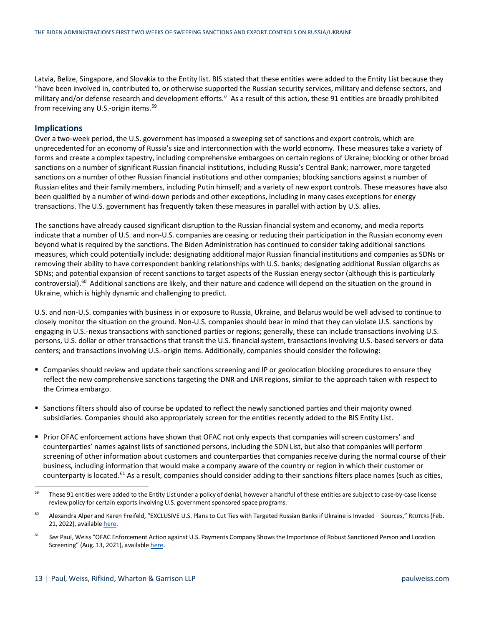Latvia, Belize, Singapore, and Slovakia to the Entity list. BIS stated that these entities were added to the Entity List because they "have been involved in, contributed to, or otherwise supported the Russian security services, military and defense sectors, and military and/or defense research and development efforts." As a result of this action, these 91 entities are broadly prohibited from receiving any U.S.-origin items.<sup>[59](#page-12-0)</sup>

#### **Implications**

Over a two-week period, the U.S. government has imposed a sweeping set of sanctions and export controls, which are unprecedented for an economy of Russia's size and interconnection with the world economy. These measures take a variety of forms and create a complex tapestry, including comprehensive embargoes on certain regions of Ukraine; blocking or other broad sanctions on a number of significant Russian financial institutions, including Russia's Central Bank; narrower, more targeted sanctions on a number of other Russian financial institutions and other companies; blocking sanctions against a number of Russian elites and their family members, including Putin himself; and a variety of new export controls. These measures have also been qualified by a number of wind-down periods and other exceptions, including in many cases exceptions for energy transactions. The U.S. government has frequently taken these measures in parallel with action by U.S. allies.

The sanctions have already caused significant disruption to the Russian financial system and economy, and media reports indicate that a number of U.S. and non-U.S. companies are ceasing or reducing their participation in the Russian economy even beyond what is required by the sanctions. The Biden Administration has continued to consider taking additional sanctions measures, which could potentially include: designating additional major Russian financial institutions and companies as SDNs or removing their ability to have correspondent banking relationships with U.S. banks; designating additional Russian oligarchs as SDNs; and potential expansion of recent sanctions to target aspects of the Russian energy sector (although this is particularly controversial).<sup>[60](#page-12-1)</sup> Additional sanctions are likely, and their nature and cadence will depend on the situation on the ground in Ukraine, which is highly dynamic and challenging to predict.

U.S. and non-U.S. companies with business in or exposure to Russia, Ukraine, and Belarus would be well advised to continue to closely monitor the situation on the ground. Non-U.S. companies should bear in mind that they can violate U.S. sanctions by engaging in U.S.-nexus transactions with sanctioned parties or regions; generally, these can include transactions involving U.S. persons, U.S. dollar or other transactions that transit the U.S. financial system, transactions involving U.S.-based servers or data centers; and transactions involving U.S.-origin items. Additionally, companies should consider the following:

- Companies should review and update their sanctions screening and IP or geolocation blocking procedures to ensure they reflect the new comprehensive sanctions targeting the DNR and LNR regions, similar to the approach taken with respect to the Crimea embargo.
- Sanctions filters should also of course be updated to reflect the newly sanctioned parties and their majority owned subsidiaries. Companies should also appropriately screen for the entities recently added to the BIS Entity List.
- Prior OFAC enforcement actions have shown that OFAC not only expects that companies will screen customers' and counterparties' names against lists of sanctioned persons, including the SDN List, but also that companies will perform screening of other information about customers and counterparties that companies receive during the normal course of their business, including information that would make a company aware of the country or region in which their customer or counterparty is located.<sup>[61](#page-12-2)</sup> As a result, companies should consider adding to their sanctions filters place names (such as cities,

<span id="page-12-0"></span><sup>&</sup>lt;sup>59</sup> These 91 entities were added to the Entity List under a policy of denial, however a handful of these entities are subject to case-by-case license review policy for certain exports involving U.S. government sponsored space programs.

<span id="page-12-1"></span><sup>&</sup>lt;sup>60</sup> Alexandra Alper and Karen Freifeld, "EXCLUSIVE U.S. Plans to Cut Ties with Targeted Russian Banks if Ukraine is Invaded – Sources," REUTERS (Feb. 21, 2022), availabl[e here.](https://www.reuters.com/world/exclusive-us-plans-cut-ties-with-targeted-russian-banks-if-ukraine-is-invaded-2022-02-21/)

<span id="page-12-2"></span><sup>&</sup>lt;sup>61</sup> See Paul, Weiss "OFAC Enforcement Action against U.S. Payments Company Shows the Importance of Robust Sanctioned Person and Location Screening" (Aug. 13, 2021), availabl[e here.](https://www.paulweiss.com/practices/litigation/economic-sanctions-aml/publications/ofac-enforcement-action-against-us-payments-company-shows-the-importance-of-robust-sanctioned-person-and-location-screening?id=40748)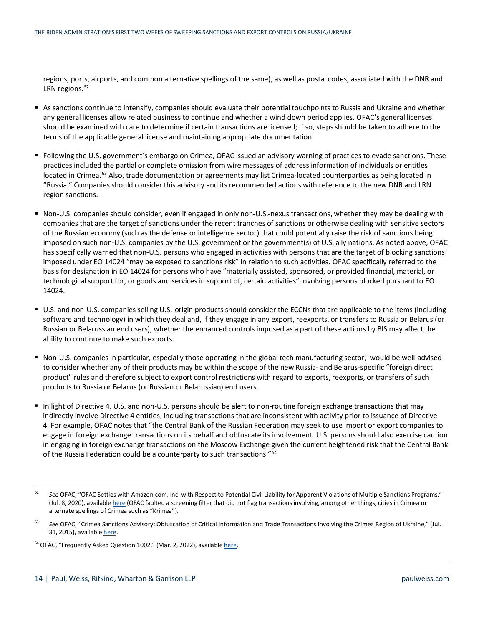regions, ports, airports, and common alternative spellings of the same), as well as postal codes, associated with the DNR and LRN regions.<sup>[62](#page-13-0)</sup>

- As sanctions continue to intensify, companies should evaluate their potential touchpoints to Russia and Ukraine and whether any general licenses allow related business to continue and whether a wind down period applies. OFAC's general licenses should be examined with care to determine if certain transactions are licensed; if so, steps should be taken to adhere to the terms of the applicable general license and maintaining appropriate documentation.
- Following the U.S. government's embargo on Crimea, OFAC issued an advisory warning of practices to evade sanctions. These practices included the partial or complete omission from wire messages of address information of individuals or entitles located in Crimea.<sup>[63](#page-13-1)</sup> Also, trade documentation or agreements may list Crimea-located counterparties as being located in "Russia." Companies should consider this advisory and its recommended actions with reference to the new DNR and LRN region sanctions.
- Non-U.S. companies should consider, even if engaged in only non-U.S.-nexus transactions, whether they may be dealing with companies that are the target of sanctions under the recent tranches of sanctions or otherwise dealing with sensitive sectors of the Russian economy (such as the defense or intelligence sector) that could potentially raise the risk of sanctions being imposed on such non-U.S. companies by the U.S. government or the government(s) of U.S. ally nations. As noted above, OFAC has specifically warned that non-U.S. persons who engaged in activities with persons that are the target of blocking sanctions imposed under EO 14024 "may be exposed to sanctions risk" in relation to such activities. OFAC specifically referred to the basis for designation in EO 14024 for persons who have "materially assisted, sponsored, or provided financial, material, or technological support for, or goods and services in support of, certain activities" involving persons blocked pursuant to EO 14024.
- U.S. and non-U.S. companies selling U.S.-origin products should consider the ECCNs that are applicable to the items (including software and technology) in which they deal and, if they engage in any export, reexports, or transfers to Russia or Belarus (or Russian or Belarussian end users), whether the enhanced controls imposed as a part of these actions by BIS may affect the ability to continue to make such exports.
- Non-U.S. companies in particular, especially those operating in the global tech manufacturing sector, would be well-advised to consider whether any of their products may be within the scope of the new Russia- and Belarus-specific "foreign direct product" rules and therefore subject to export control restrictions with regard to exports, reexports, or transfers of such products to Russia or Belarus (or Russian or Belarussian) end users.
- In light of Directive 4, U.S. and non-U.S. persons should be alert to non-routine foreign exchange transactions that may indirectly involve Directive 4 entities, including transactions that are inconsistent with activity prior to issuance of Directive 4. For example, OFAC notes that "the Central Bank of the Russian Federation may seek to use import or export companies to engage in foreign exchange transactions on its behalf and obfuscate its involvement. U.S. persons should also exercise caution in engaging in foreign exchange transactions on the Moscow Exchange given the current heightened risk that the Central Bank of the Russia Federation could be a counterparty to such transactions."[64](#page-13-2)

<span id="page-13-0"></span><sup>&</sup>lt;sup>62</sup> See OFAC, "OFAC Settles with Amazon.com, Inc. with Respect to Potential Civil Liability for Apparent Violations of Multiple Sanctions Programs," (Jul. 8, 2020), availabl[e here](https://home.treasury.gov/system/files/126/20200708_amazon.pdf) (OFAC faulted a screening filter that did not flag transactions involving, among other things, cities in Crimea or alternate spellings of Crimea such as "Krimea").

<span id="page-13-1"></span><sup>&</sup>lt;sup>63</sup> See OFAC, "Crimea Sanctions Advisory: Obfuscation of Critical Information and Trade Transactions Involving the Crimea Region of Ukraine," (Jul. 31, 2015), availabl[e here.](https://home.treasury.gov/system/files/126/crimea_advisory.pdf)

<span id="page-13-2"></span><sup>&</sup>lt;sup>64</sup> OFAC, "Frequently Asked Question 1002," (Mar. 2, 2022), available [here.](https://home.treasury.gov/policy-issues/financial-sanctions/faqs/1002)